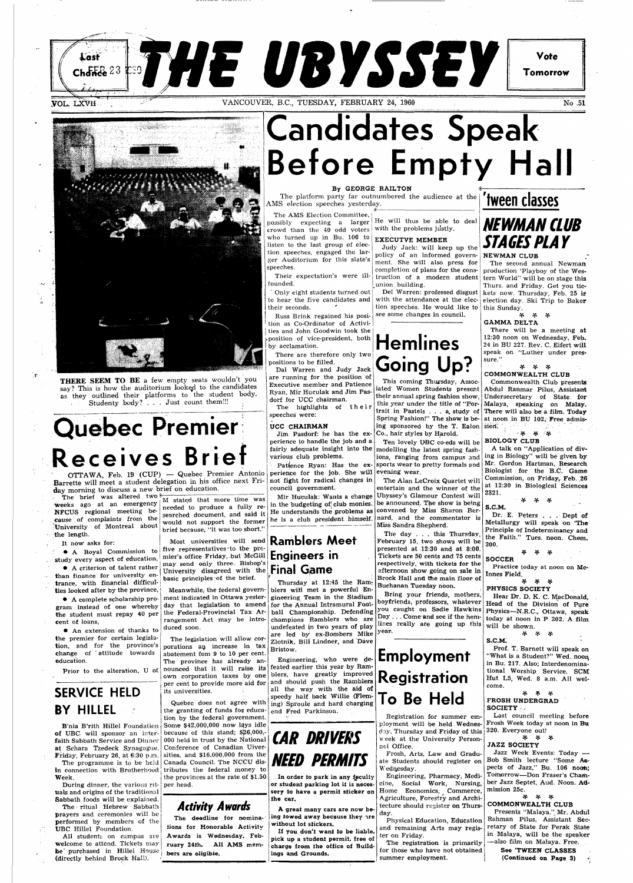### **THE UBYSSEY Vote**  Last Chance  $23$ **Tomorrow**  VANCOUVER, B.C., TUESDAY, FEBRUARY 24, 1960 No .51



THERE SEEM TO BE a few empty seats wouldn't you say? This is how the auditorium looked to the candidates as" they outlined their platforms to the student body. Studenty body? . . . Just count them!!!

# **Candidates Speak Before Empty Hall**

#### By GEORGE RAILTON

The platform party far outnumbered the audience at the AMS election speeches yesterday.

 $\hat{\bullet}$ 

The AMS Election Committee, ssibly expecting a larger crowd than the  $40$  odd voters with the problems justly. who turned up in Bu. 106 to listen to the last group of eleclion speeches, engaged the larger Auditorium for this slate's speeches.

 $\overline{r}$ Their expectation's were in- $\frac{1}{2}$ .

He will thus be able to deal

The brief was altered two  $\mathcal{L}_{\text{M}}$  stated that more time was weeks ago at an emergency NFCUS regional meeting because of complaints from the 'University of Montreal about the length.

# **Quebec Premier Receives Brief**

OTTAWA, Feb. 19 (CUP) — Quebec Premier Antonio Barrette will meet a student delegation in his office next Friday morning to discuss a new brief on education.

It now asks for:

• A criterion of talent rather than finance for university en-

needed to produce a fully researched document, and said it would not support the former brief because, "it was too short."

 $\bullet$  A Royal Commission to five representatives to the pre-Most universities will send **Ramblers Meet**  i may send only three. Bishop's j University disagreed with the **Final Game**  basic principles of the brief.

• A complete scholarship pro-

Dal Warren and Judy Jack are running for the position of Executive member and Patience Ryan, Mir Huculak and Jim Pasdorf for UCC chairman. The highlights of their

study every aspect of education, mier's office Friday,-but McGill **Engineers in** 

## **Hemlines Going**

Ten lovely UBC co-eds will be modelling the latest spring fashions, ranging from campus and sports wear to pretty formals and  $\vert$  Mr. Gordon Hartman, Research

Only eight students turned out to hear the five candidates and their seconds. their seconds. '

Russ Brink regained his position as Co-Ordinator of Activities and John Goodwin took the position of vice-president, both by acclamation.

trance, with financial difficulties looked after by the province, gram instead of one whereby the student must repay 40 per cent of loans, • An extension of thanks to Meanwhile, the federal government indicated in Ottawa yesterday that legislation to amend the Federal-Provincial Tax Arrangement Act may be introduced soon. Thursday at 12:45 the Rami biers will met a powerful Engineering Team in the Stadium for the Annual Intramural Football Championship. Defending champions Ramblers who are undefeated in two years of play Buchanan Tuesday noon. Bring your friends, mothers, you caught on Sadie Hawkins

There are therefore only two positions to be filled.

truction of a modern student tern World" will be on stage this Del Warren: professed disgust kets now. Thursday, Feb. 25 is The second annual Newman production 'Playboy of the Wes-Thurs. and Friday. Get you ticelection day. Ski Trip to Baker this Sunday.

speeches were:

#### \* \* \* COMMONWEALTH CLUB

#### UCC CHAIRMAN

Jim Pasdorf: he has the experience to handle the job and a fairly adequate insight into the various club problems.

Patience Ryan: Has the experience for the job. She will evening wear. not fight for radical changes in council government.

> Dr. E. Peters . . . Dept of Metallurgy will speak on 'The Principle of Indeterminancy and the Faith." Tues. noon. Chem. 200.

Mir Huculak: Wants a change in the budgeting of club monies. He understands the problems as he is a club president himself.

the premier for certain legislation, and for the province's porations an increase in tax change of ' attitude towards education. Prior to the alteration, U of **SERVICE HELD BY HILLEL**  B'nia B'rith Hillel Foundation Some \$42,000,000 now lays idle of UBC will sponsor an interfaith Sabbath Service and Dinner at Schara Tzedeck Synagogue. Friday, February 26, at 6:30 p.m. sities, and \$16,000,000 from the The programme is to be held Canada Council. The NCCU disin connection with Brotherhood Week. During dinner, the various rituals and origins of the traditional Sabbath foods will be explained. The ritual Hebrew Sabbath prayers and ceremonies will be performed by members of the UBC Hillel Foundation. All students on campus are welcome to attend. Tickets may be purchased in Hillel House (directly behind Brock Hall). The legislation will allow corabatement fom 9 to 10 per cent. The province has already announced that it will raise its feated earlier this year by Ramown corporation taxes by one per cent to provide more aid for its universities. Quebec does not agree with the granting of funds for education by the federal government. because of this stand;  $$26,000$ . 000 held in trust by the National Conference of Canadian Uivertributes the federal money to the provinces at the rate of \$1.50 per head. **Activity Awards**  The deadline for nominations for Honorable Activity-Awards is Wednesday, February 24th. All AMS members are eligible. are led by ex-Bombers Mike Zlotnik, Bill Lindner, and Dave Bristow. Engineering, who were deblers, have greatly improved and should push the Ramblers all the way with the aid of speedy half back Willie (Fleming) Sproule and hard charging end Fred Parkinson. year. **CAR DRIVERS NEED PERMITS**  In order to park in any feculty or student parking lot it is necessery to have a permit sticker on the car. A great many cars are now being lowed away because they are without lot stickers. If you don't want to be liable, pick up a student permit, free of charge from the office of Buildings and Grounds. **Employment Registration To Be Held**  Registration for summer employment will be held Wednesd ay, Thursday and Friday of this week at the University Personnel Office. Frosh, Arts, Law and Graduate Students should register on Wednesday. Engineering, Pharmacy, Medicine, Social Work, Nursing, Home Economics, Commerce, Agriculture, Forestry and Architecture should register on Thursday. Physical Education, Education and remaining Arts may register on Friday. The registration is primarily for those who have not obtained summer employment.

## **'tween classes**

#### **\*JT T\* •!•**  FROSH UNDERGRAD SOCIETY ·

See 'TWEEN CLASSES (Continued on Page 3)

#### EXECUTVE MEMBER

Judy Jack: will keep up the policy of an informed government. She will also press for completion of plans for the consunion building.

with the attendance at the election speeches. He would like to see some changes in council.

This coming Thursday, Associated" Women Students present ing sponsored by the T. Eaton sion:  $\mathbf{S} = \begin{bmatrix} 1 & 1 \\ 1 & 1 \end{bmatrix}$ Co., hair styles by Harold.

The Alan LeCroix Quartet will entertain and the winner of the Ubyssey's Glamour Contest will be announced. The show is being convened by Miss Sharon Bernard, and the commentator is Miss Sandra Shepherd.

The day . . . this Thursday, February 15, two shows will be presented at  $12:30$  and at  $8:00$ . Tickets are 50 cents and 75 cents respectively, with tickets for the afternoon show going on sale in Brock Hall and the main floor of

boyfriends, professors, whatever Day . . . Come and see if the hemlines really are going up this

their annual spring fashion show, Undersecretary of State for this year under the title of "Por-Malaya, speaking on Malay. trait in Pastels . . . a study of There will also be a film. Today Spring Fashion!" The show is be- at noon in BU 102. Free admis-Commonwealth Club presents Abdul Ranmar Pilus, Assistant **' ff. ff. •'• rf.** 

### **NEWMAN CLUB STAGES PLAY**

#### NEWMAN CLUB

*•f. \*f. \*(.*  GAMMA DELTA

There will be a meeting at 12:30 noon on Wednesday, Feb. 24 in BU 227. Rev. C. Eifert will speak on "Luther under pressure."

BIOLOGY CLUB

A talk on "Application of diving in Biology" will be given by Biologist for the B.C. Game Commission, on Friday, Feb. 26 at 12:30 in Biological Sciences 2321.

**•T\* V V**  S.C.M.

**•Jr •\*• •\*•**  SOCCER

Practice today at noon on Mclnnes Field.

**[2f.3f.3f.](http://2f.3f.3f)**  PHYSICS SOCIETY

Hear Dr. D. K. C. MacDonald, Head of the Division of Pure Physics—N.R.C, Ottawa, speak today at noon in P 202. A film will be shown.



S.CM; Prof. T. Barnett will speak on "What is a Student?" Wed. noon, in Bu. 217. Also; Interdenominational Worship Service, SCM Hut L5, Wed. 8 a.m. All welcome.

Last council meeting before Frosh Week today at noon in Bu 320. Everyone out!

**•\*• V V**  JAZZ SOCIETY

Jazz Week Events: Today — Bob Smith lecture "Some Aspects of Jazz," Bu. 106 noon; Tomorrow—Don Fraser's Chamber Jazz Septet, Aud. Noon. Admission 25c.

**•T\* V •¥•**  COMMONWEALTH CLUB

Presents "Malaya." Mr. Abdul Rahman Pilus, Assistant Secretary of State for Perak State in Malaya, will be the speaker —also film on Malaya. Free.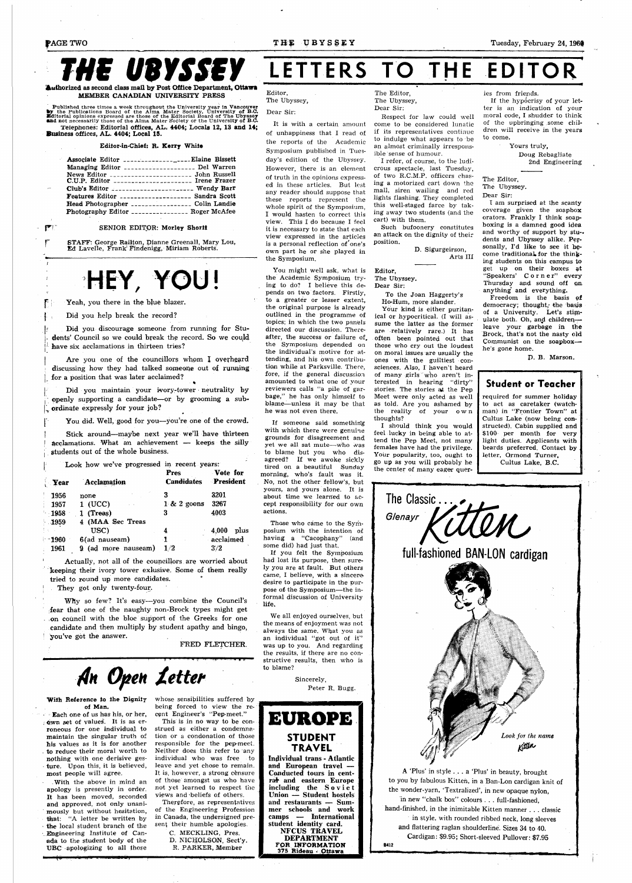# **Authorized as second class mail by Post Office Department. Ottawa**

Authorized as second class mail by Post Office Department, Ottawa MEMBER CANADIAN UNIVERSITY PRESS

Published three times a week throughout the University year in Vancouver by the Publications Board of the Alma Mater Society, University of B.C. Dure and not include the Mater of the Editorial Board of The Ubyssey and not Telephones: Editorial offices, AL. 4404; Locals 12, 13 and 14; Business offices, AL. 4404; Local 15.

STAFF: George Railton, Dianne Greenall, Mary Lou, Ed Lavelle, Frank' Findenigg, Miriam Roberts.

**f**  Yeah, you there in the blue blazer.

## HEY, YOU!

Editor-in-Chief: R. Kerry White

| Associate Editor ___________________Elaine Bissett |  |
|----------------------------------------------------|--|
| Managing Editor ___________________ Del Warren     |  |
| News Editor _____________________ John Russell     |  |
| C.U.P. Editor _____________________ Irene Frazer   |  |
| Club's Editor  Wendy Barr                          |  |
| Features Editor __________________ Sandra Scott    |  |
| Head Photographer ________________ Colin Landie    |  |
| Photography Editor ________________ Roger McAfee   |  |

#### SENIOR EDITOR: Morley Shorit

# **LETTERS TO THE EDITOR**

**f**  Did you help break the record?

Did you discourage someone from running for Students' Council so we could break the record. So we could have six acclamations in thirteen tries?

Are you one of the councillors whom I overheard discussing how they had talked someone out of running for a position that was later acclaimed?  $\ddot{ }$  .

 $\Box$  Did you maintain your ivory-tower neutrality by openly supporting a candidate—or by grooming a subordinate expressly for your job?

You did. Well, good for you-you're one of the crowd.

Stick around—maybe next year we'll have thirteen | acclamations. What an achievement — keeps the silly students out of the whole business.

#### With Reference to the Dignity whose sensibilities suffered by of Man.

| Þ                   | Look how we've progressed in recent years: |                                            |               |  |  |  |
|---------------------|--------------------------------------------|--------------------------------------------|---------------|--|--|--|
| $\blacksquare$ Year | Acclamation                                | <b>Pres</b><br><b>Candidates President</b> | Vote for      |  |  |  |
| 1956                | none                                       | 3                                          | 3201          |  |  |  |
| - 1957              | 1 (UCC)                                    | $1 \& 2$ goons                             | 3267          |  |  |  |
| $-1958$             | $1$ (Treas)                                | 3                                          | 4003          |  |  |  |
| $-1959$             | 4 (MAA Sec Treas                           |                                            |               |  |  |  |
|                     | USC)                                       | 4                                          | 4,000<br>plus |  |  |  |
| $-1960$             | 6(ad nauseam)                              | -1                                         | acclaimed     |  |  |  |
| 1961                | 9 (ad more nauseam)                        | 1/2                                        | 3/2           |  |  |  |

Actually, not all of the councillors are worried about keeping their ivory tower exlusive. Some of them really tried to round up more candidates.

They got only twenty-four.

*Why* so few? It's easy—you combine the Council's fear that one of the naughty non-Brock types might get on council with the bloc support of the Greeks for one candidate and then multiply by student apathy and bingo, you've got the answer.

*•A]H Open Xetter* 

• Each one of us has his, or her, own set of values. It is as erroneous for one individual to maintain the singular truth of his values as it is for another to reduce their moral worth to nothing with one derisive gesture. Upon this, it is believed, most people will agree.

.With the above in mind an apology is presently in order. It has been moved, seconded and approved, not only unanimously but without hesitation, that: "A letter be written by the local student branch of the Engineering Institute of Canada to the student body of the UBC apologizing to all those

being forced to view the recent Engineer's "Pep-meet." This is in no way to be construed as either a condemnation or a condonation of those responsible for the pep-meet. Neither does this refer to any individual who was free to leave and yet chose to remain. It is, however, a strong censure of those amongst us who have not yet learned to respect the views and -beliefs of others. Therefore, as representatives of the Engineering Profession in Canada, the undersigned present their humble apologies.

If the hypocrisy of your letter is an indication of your moral code, I shudder to think of the upbringing some children will receive in the years to come.

C. HECKLING, Pres. D. NICHOLSON, Sect'y. R. PARKER, Member

Editor,

The Ubyssey,

Dear Sir:

It is with a certain amount of unhappiness that I read of the reports of the Academic Symposium published in Tuesbymposium published in Tues-<br>dou's edition of the Ubyssexy. day's edition of the Ubyssey.<br>--However, there is an element of truth in the opinions expressed in these articles. But lest any reader should suppose that these reports represent the whole spirit of the Symposium I would hasten to correct this<br>view. This I do because I feel it is necessary to state that each view expressed in the articles is a personal reflection of one's own part he or she played in the Symposium.

You might well ask, what is the Academic Symposium trying to do? I believe this depends on two factors. Firstly, to a greater or lesser extent, the original purpose is already outlined in the programme of topics; in which the two panels directed our discussion. Thereafter, the success or failure of. the Symposium depended on the individual's motive for attending, and his own contribution while at Parksville. There, fore, if the general discussion amounted to what one of your reviewers calls "a pile of garbage," he has only himself to blame—unless it may be that he was not even there.

If someone said somethin'g with which there were genuine grounds for disagreement and yet we all sat mute—who was to blame but you who disagreed? If we awoke sickly tired on a beautiful Sunday morning, who's fault was it. No, not the other fellow's, but yours, and yours alone. It is about time we learned to accept responsibility for our own actions.

Those who came to the Symposium with the intention of. having a "Cacophany" (and some did) had just that.

If you felt the Symposium had lost its purpose, then surely you are at fault. But others came, I believe, with a sincere, desire to participate in the purpose of the Symposium—the informal discussion of University life.

We all enjoyed ourselves, but the means of enjoyment was not always the same. What you as an individual "got out of it" was up to you. And regarding

the results, if there are no constructive results, then who is to blame?

> Sincerely, Peter R. Bugg.

**•HKDSM p** 



The Editor, The Ubyssey, Dear Sir:

Respect for law could well come to be considered lunatic if its representatives continue to indulge what appears to be an almost criminally irresponsible sense of humour.

I refer, of course, to the ludicrous spectacle, last Tuesday, of two R.C.M.P. officers chasing a motorized cart down the mall, siren wailing and red lights flashing. They completed this well-staged farce by taking away two students (and the cart) with them.

Such bufoonery constitutes an attack on the dignity of their position.

> D. Sigurgeirson, Arts III

ies from friends.

Yours truly, Doug Rebagliate 2nd Engineering

Editor, The Ubyssey.

Dear Sir:

To the Joan Haggerty's Ho-Hum, more slander.

Your kind is either puritanical or hypocritical. (I will assume the latter as the former are relatively rare.) It has often been pointed out that those who cry out the loudest on moral issues are usually the ones with the guiltiest consciences. Also, I haven't heard of many girls "who aren't interested in hearing "dirty" stories. The stories at the Pep Meet were only acted as well as told. Are you ashamed by the reality of your ow n thoughts?

I should think you would feel lucky in being able to attend the Pep Meet, not many females have had the privilege. Your popularity, too, ought to go up as you will probably he the center of many eager quer-

The Editor, The Ubyssey.

Dear Sir:

I am surprised at the scanty coverage given the soapbox orators. Frankly I think soapboxing is a damned good idea and worthy of support by stu- dents and Ubyssey alike. Personally, I'd like to see it become traditional, for the thinking students on this campus to get up on their boxes at "Speakers' Corner" every Thursday and sound off on anything' and everything.



Freedom is the basis of democracy; thought, the basis of a University. Let's stimulate both. Oh, and childrenleave your garbage in the Brock, that's not the nasty old Communist on the soapboxhe's gone home.

P. B. Marson.

### **Student or Teacher**

required for summer holiday to act as caretaker (watchman) in "Frontier Town" at Cultus Lake (now being constructed). Cabin supplied and \$100 per month for very light duties. Applicants with beards preferred. Contact by letter, Ormond Turner, Cultus Lake, B.C.

A 'Plus' in style .. . a 'Plus' in beauty, brought to you by fabulous Kitten, in a Ban-Lon cardigan knit of the wonder-yarn, 'Textralized', in new opaque nylon, in new "chalk box" colours . . . full-fashioned, hand-finished, in the inimitable Kitten manner . . . classic in style, with rounded ribbed neck, long sleeves and flattering raglan shoulderline. Sizes 34 to 40. Cardigan: \$9.95; Short-sleeved Pullover: \$7.95 **B412** 

**• ' I I • I I I**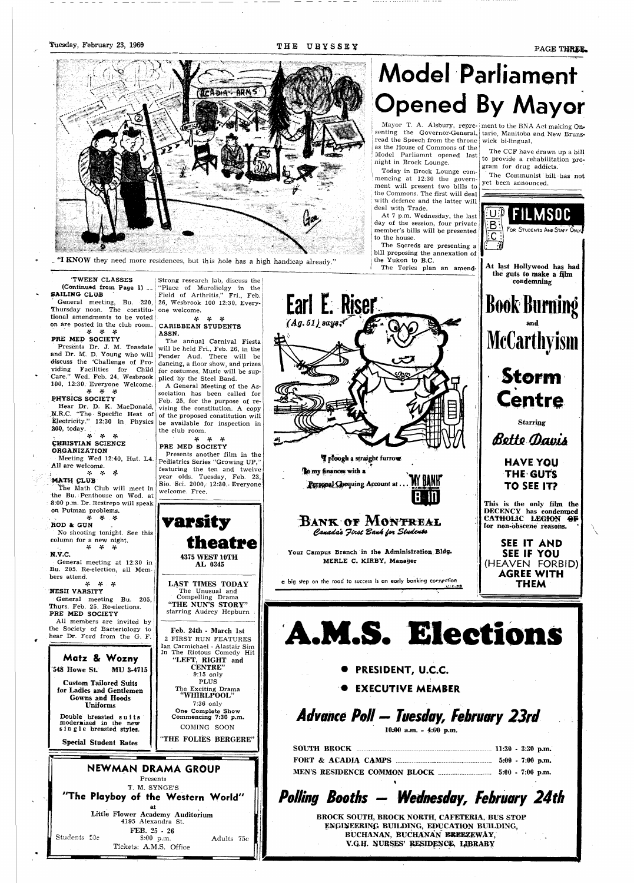

"I KNOW they need more residences, but this hole has a high handicap already."

# **Model Parliament Opened By Mayor**

Model Parliamnt opened last night in Brock Lounge.

Mayor T. A. Alsbury, repre- ment to the BNA Act making Onsenting the Governor-General, tario, Manitoba and New Brunsread the Speech from the throne as the House of Commons of the wick bi-lingual.

Today in Brock Lounge commencing at 12:30 the government will present two bills to the Commons. The first will deal with defence and the latter will deal with Trade.

At 7 p.m. Wednesday, the last day of the session, four private member's bills will be presented to the house.

The Socreds are presenting a bill proposing the annexation of the Yukon to B.C.

The Tories plan an amend-

**rf> 3f, 3ft ROD** & **GUN**  No shooting tonight. See this column for a new night.<br>  $\frac{4}{5}$   $\frac{4}{5}$   $\frac{4}{5}$ 

The CCF have drawn up a bill to provide a rehabilitation program for drug addicts.

The Communist bill has not yet been announced.

#### **'TWEEN CLASSES (Continued from Page 1) \_\_**

**SAILING CLUB**  General meeting, Bu. 220,

Thursday noon. The constitutional amendments to be voted on are posted in the club room. **3ft if. 3ft** 

#### **PRE MED SOCIETY**

The annual Carnival Fiesta will be held Fri., Feb. 26, in the Pender Aud. There will be dancing, a floor show, and prizes for costumes. Music will be supplied by the Steel Band.

Presents Dr. J. M. Teasdale and Dr. M. D. Young who will discuss the 'Challenge of Providing Facilities for Child Care." Wed. Feb. 24, Wesbrook 100, 12:30. Everyone Welcome. **\*T\* \*T\* "X\*** 

#### **PHYSICS SOCIETY**

Hear Dr. D. K. MacDonald, N.R.C. "The Specific Heat of Electricity." 12:30 in Physics **200,** today.

#### **] | V V •\*•• CHRISTIAN SCIENCE ORGANIZATION**

Meeting Wed 12:40, Hut. L4. All **are** welcome.

#### i . \* \* # **MATH £LUB**

**Feb. 24th** - **March 1st**  2 FIRST RUN FEATURES n Carmichael - Alastair Si

The Math Club will meet in the Bu. Penthouse on Wed. at **8:00** p.m. Dr. Restrepo will speak **on** Putman problems.

**N.V.C.** 

General meeting at 12:30 in Bu. 205. Re-election, all Members attend.

*if. if. if.*  **NESII VARSITY**  General meeting Bu. 205, Thurs. Feb. 25. Re-elections. **PRE MED SOCIETY** 

**SAN K** *OT* **Moimts-Ai. Canada's Jirst Bank for Students** 

All members are invited by the Society of Bacteriology to hear Dr. Ford from the G. F.

Strong research Jab, discuss the "Place of Muroliolgy in the Field of Arthritis," Fri., Feb. 26, Wesbrook 100 12:30. Everyone welcome.

#### *[ff.fif.3f.](http://ff.fif.3f)*  **CARIBBEAN STUDENTS ASSN.**

**BROCK SOUTH, BROCK NORTH, CAFETERIA, BUS STOP ENGINEERING BUILDING, EDUCATION BUILDING, BUCHANAN, BUCHANAN BREEZEWAY, V.Q.H. NURSES' RESIDENCE, LIBRARY** 

A General Meeting of the Association has been called for Feb. 25, for the purpose of revising the constitution. A copy of the proposed constitution will be available for inspection in the club room.

#### **3ft 3ft 3ft PRE MED SOCIETY**

Presents another film in the Pediatrics Series "Growing UP," featuring the ten and twelve year olds. Tuesday, Feb. 23, Bio. Sci. 2000, 12:30.- Everyone welcome. Free.



**LAST TIMES TODAY**  The Unusual and Compelling Drama

**"THE NUN'S STORY"**  starring Audrey Hepburn



### Tuesday, February 23, 196<del>0</del> **THE UBYSSEY PAGE THR**

Earl E. Riser

•&" "

lough a straight furrow

**Your Campus Branch in the Administration Bldg. MERLE C. KIRBY. Manager** 

 $\alpha$  big step on the road to success is an early banking consection

Rersonal Chequing Account at.

In my finances with a

 $(Ag. 51)$  says;  $\tilde{f}$ 



**M.S. Election** 

### **• PRESIDENT, U.C.C. # EXECUTIVE MEMBER**

## *Advance Poll* **—** *Tuesday, February 23rd*

10:00 a.m. - 4:00 p.m.

| SOUTH BROCK <b>Example 2018</b> 11:30 - 3:30 p.m. |  |  |
|---------------------------------------------------|--|--|
|                                                   |  |  |
|                                                   |  |  |

### *Polling Booths* **—** *Wednesday, February 24th*